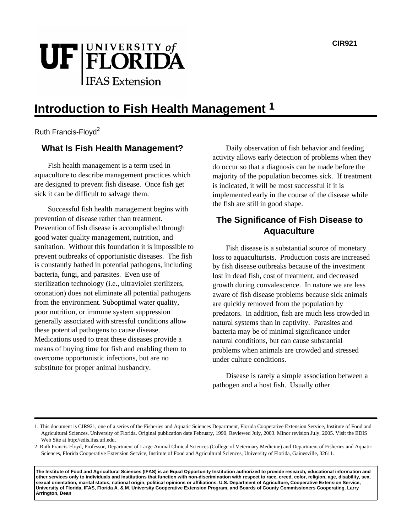

# **Introduction to Fish Health Management 1**

Ruth Francis-Floyd<sup>2</sup>

# **What Is Fish Health Management?**

Fish health management is a term used in aquaculture to describe management practices which are designed to prevent fish disease. Once fish get sick it can be difficult to salvage them.

Successful fish health management begins with prevention of disease rather than treatment. Prevention of fish disease is accomplished through good water quality management, nutrition, and sanitation. Without this foundation it is impossible to prevent outbreaks of opportunistic diseases. The fish is constantly bathed in potential pathogens, including bacteria, fungi, and parasites. Even use of sterilization technology (i.e., ultraviolet sterilizers, ozonation) does not eliminate all potential pathogens from the environment. Suboptimal water quality, poor nutrition, or immune system suppression generally associated with stressful conditions allow these potential pathogens to cause disease. Medications used to treat these diseases provide a means of buying time for fish and enabling them to overcome opportunistic infections, but are no substitute for proper animal husbandry.

Daily observation of fish behavior and feeding activity allows early detection of problems when they do occur so that a diagnosis can be made before the majority of the population becomes sick. If treatment is indicated, it will be most successful if it is implemented early in the course of the disease while the fish are still in good shape.

# **The Significance of Fish Disease to Aquaculture**

Fish disease is a substantial source of monetary loss to aquaculturists. Production costs are increased by fish disease outbreaks because of the investment lost in dead fish, cost of treatment, and decreased growth during convalescence. In nature we are less aware of fish disease problems because sick animals are quickly removed from the population by predators. In addition, fish are much less crowded in natural systems than in captivity. Parasites and bacteria may be of minimal significance under natural conditions, but can cause substantial problems when animals are crowded and stressed under culture conditions.

Disease is rarely a simple association between a pathogen and a host fish. Usually other

**The Institute of Food and Agricultural Sciences (IFAS) is an Equal Opportunity Institution authorized to provide research, educational information and other services only to individuals and institutions that function with non-discrimination with respect to race, creed, color, religion, age, disability, sex, sexual orientation, marital status, national origin, political opinions or affiliations. U.S. Department of Agriculture, Cooperative Extension Service, University of Florida, IFAS, Florida A. & M. University Cooperative Extension Program, and Boards of County Commissioners Cooperating. Larry Arrington, Dean**

<sup>1.</sup> This document is CIR921, one of a series of the Fisheries and Aquatic Sciences Department, Florida Cooperative Extension Service, Institute of Food and Agricultural Sciences, University of Florida. Original publication date February, 1990. Reviewed July, 2003. Minor revision July, 2005. Visit the EDIS Web Site at http://edis.ifas.ufl.edu.

<sup>2.</sup> Ruth Francis-Floyd, Professor, Department of Large Animal Clinical Sciences (College of Veterinary Medicine) and Department of Fisheries and Aquatic Sciences, Florida Cooperative Extension Service, Institute of Food and Agricultural Sciences, University of Florida, Gainesville, 32611.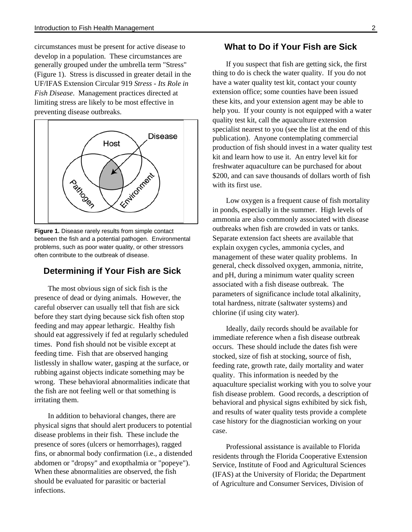circumstances must be present for active disease to develop in a population. These circumstances are generally grouped under the umbrella term "Stress" (Figure 1). Stress is discussed in greater detail in the UF/IFAS Extension Circular 919 *Stress - Its Role in Fish Disease*. Management practices directed at limiting stress are likely to be most effective in preventing disease outbreaks.



**Figure 1.** Disease rarely results from simple contact between the fish and a potential pathogen. Environmental problems, such as poor water quality, or other stressors often contribute to the outbreak of disease.

# **Determining if Your Fish are Sick**

The most obvious sign of sick fish is the presence of dead or dying animals. However, the careful observer can usually tell that fish are sick before they start dying because sick fish often stop feeding and may appear lethargic. Healthy fish should eat aggressively if fed at regularly scheduled times. Pond fish should not be visible except at feeding time. Fish that are observed hanging listlessly in shallow water, gasping at the surface, or rubbing against objects indicate something may be wrong. These behavioral abnormalities indicate that the fish are not feeling well or that something is irritating them.

In addition to behavioral changes, there are physical signs that should alert producers to potential disease problems in their fish. These include the presence of sores (ulcers or hemorrhages), ragged fins, or abnormal body confirmation (i.e., a distended abdomen or "dropsy" and exopthalmia or "popeye"). When these abnormalities are observed, the fish should be evaluated for parasitic or bacterial infections.

## **What to Do if Your Fish are Sick**

If you suspect that fish are getting sick, the first thing to do is check the water quality. If you do not have a water quality test kit, contact your county extension office; some counties have been issued these kits, and your extension agent may be able to help you. If your county is not equipped with a water quality test kit, call the aquaculture extension specialist nearest to you (see the list at the end of this publication). Anyone contemplating commercial production of fish should invest in a water quality test kit and learn how to use it. An entry level kit for freshwater aquaculture can be purchased for about \$200, and can save thousands of dollars worth of fish with its first use.

Low oxygen is a frequent cause of fish mortality in ponds, especially in the summer. High levels of ammonia are also commonly associated with disease outbreaks when fish are crowded in vats or tanks. Separate extension fact sheets are available that explain oxygen cycles, ammonia cycles, and management of these water quality problems. In general, check dissolved oxygen, ammonia, nitrite, and pH, during a minimum water quality screen associated with a fish disease outbreak. The parameters of significance include total alkalinity, total hardness, nitrate (saltwater systems) and chlorine (if using city water).

Ideally, daily records should be available for immediate reference when a fish disease outbreak occurs. These should include the dates fish were stocked, size of fish at stocking, source of fish, feeding rate, growth rate, daily mortality and water quality. This information is needed by the aquaculture specialist working with you to solve your fish disease problem. Good records, a description of behavioral and physical signs exhibited by sick fish, and results of water quality tests provide a complete case history for the diagnostician working on your case.

Professional assistance is available to Florida residents through the Florida Cooperative Extension Service, Institute of Food and Agricultural Sciences (IFAS) at the University of Florida; the Department of Agriculture and Consumer Services, Division of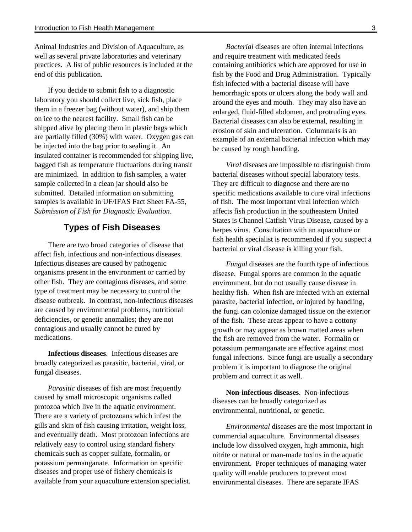Animal Industries and Division of Aquaculture, as well as several private laboratories and veterinary practices. A list of public resources is included at the end of this publication.

If you decide to submit fish to a diagnostic laboratory you should collect live, sick fish, place them in a freezer bag (without water), and ship them on ice to the nearest facility. Small fish can be shipped alive by placing them in plastic bags which are partially filled (30%) with water. Oxygen gas can be injected into the bag prior to sealing it. An insulated container is recommended for shipping live, bagged fish as temperature fluctuations during transit are minimized. In addition to fish samples, a water sample collected in a clean jar should also be submitted. Detailed information on submitting samples is available in UF/IFAS Fact Sheet FA-55, *Submission of Fish for Diagnostic Evaluation*.

## **Types of Fish Diseases**

There are two broad categories of disease that affect fish, infectious and non-infectious diseases. Infectious diseases are caused by pathogenic organisms present in the environment or carried by other fish. They are contagious diseases, and some type of treatment may be necessary to control the disease outbreak. In contrast, non-infectious diseases are caused by environmental problems, nutritional deficiencies, or genetic anomalies; they are not contagious and usually cannot be cured by medications.

**Infectious diseases**. Infectious diseases are broadly categorized as parasitic, bacterial, viral, or fungal diseases.

*Parasitic* diseases of fish are most frequently caused by small microscopic organisms called protozoa which live in the aquatic environment. There are a variety of protozoans which infest the gills and skin of fish causing irritation, weight loss, and eventually death. Most protozoan infections are relatively easy to control using standard fishery chemicals such as copper sulfate, formalin, or potassium permanganate. Information on specific diseases and proper use of fishery chemicals is available from your aquaculture extension specialist.

*Bacterial* diseases are often internal infections and require treatment with medicated feeds containing antibiotics which are approved for use in fish by the Food and Drug Administration. Typically fish infected with a bacterial disease will have hemorrhagic spots or ulcers along the body wall and around the eyes and mouth. They may also have an enlarged, fluid-filled abdomen, and protruding eyes. Bacterial diseases can also be external, resulting in erosion of skin and ulceration. Columnaris is an example of an external bacterial infection which may be caused by rough handling.

*Viral* diseases are impossible to distinguish from bacterial diseases without special laboratory tests. They are difficult to diagnose and there are no specific medications available to cure viral infections of fish. The most important viral infection which affects fish production in the southeastern United States is Channel Catfish Virus Disease, caused by a herpes virus. Consultation with an aquaculture or fish health specialist is recommended if you suspect a bacterial or viral disease is killing your fish.

*Fungal* diseases are the fourth type of infectious disease. Fungal spores are common in the aquatic environment, but do not usually cause disease in healthy fish. When fish are infected with an external parasite, bacterial infection, or injured by handling, the fungi can colonize damaged tissue on the exterior of the fish. These areas appear to have a cottony growth or may appear as brown matted areas when the fish are removed from the water. Formalin or potassium permanganate are effective against most fungal infections. Since fungi are usually a secondary problem it is important to diagnose the original problem and correct it as well.

**Non-infectious diseases**. Non-infectious diseases can be broadly categorized as environmental, nutritional, or genetic.

*Environmental* diseases are the most important in commercial aquaculture. Environmental diseases include low dissolved oxygen, high ammonia, high nitrite or natural or man-made toxins in the aquatic environment. Proper techniques of managing water quality will enable producers to prevent most environmental diseases. There are separate IFAS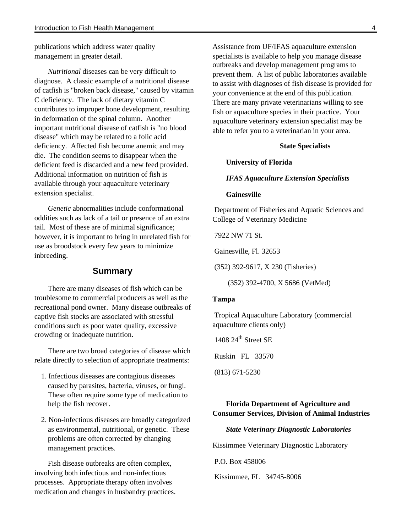publications which address water quality management in greater detail.

*Nutritional* diseases can be very difficult to diagnose. A classic example of a nutritional disease of catfish is "broken back disease," caused by vitamin C deficiency. The lack of dietary vitamin C contributes to improper bone development, resulting in deformation of the spinal column. Another important nutritional disease of catfish is "no blood disease" which may be related to a folic acid deficiency. Affected fish become anemic and may die. The condition seems to disappear when the deficient feed is discarded and a new feed provided. Additional information on nutrition of fish is available through your aquaculture veterinary extension specialist.

*Genetic* abnormalities include conformational oddities such as lack of a tail or presence of an extra tail. Most of these are of minimal significance; however, it is important to bring in unrelated fish for use as broodstock every few years to minimize inbreeding.

### **Summary**

There are many diseases of fish which can be troublesome to commercial producers as well as the recreational pond owner. Many disease outbreaks of captive fish stocks are associated with stressful conditions such as poor water quality, excessive crowding or inadequate nutrition.

There are two broad categories of disease which relate directly to selection of appropriate treatments:

- 1. Infectious diseases are contagious diseases caused by parasites, bacteria, viruses, or fungi. These often require some type of medication to help the fish recover.
- 2. Non-infectious diseases are broadly categorized as environmental, nutritional, or genetic. These problems are often corrected by changing management practices.

Fish disease outbreaks are often complex, involving both infectious and non-infectious processes. Appropriate therapy often involves medication and changes in husbandry practices. Assistance from UF/IFAS aquaculture extension specialists is available to help you manage disease outbreaks and develop management programs to prevent them. A list of public laboratories available to assist with diagnoses of fish disease is provided for your convenience at the end of this publication. There are many private veterinarians willing to see fish or aquaculture species in their practice. Your aquaculture veterinary extension specialist may be able to refer you to a veterinarian in your area.

#### **State Specialists**

**University of Florida**

#### *IFAS Aquaculture Extension Specialists*

#### **Gainesville**

 Department of Fisheries and Aquatic Sciences and College of Veterinary Medicine

7922 NW 71 St.

Gainesville, Fl. 32653

(352) 392-9617, X 230 (Fisheries)

(352) 392-4700, X 5686 (VetMed)

#### **Tampa**

 Tropical Aquaculture Laboratory (commercial aquaculture clients only)

 $1408$   $24$ <sup>th</sup> Street SE

Ruskin FL 33570

(813) 671-5230

# **Florida Department of Agriculture and Consumer Services, Division of Animal Industries**

#### *State Veterinary Diagnostic Laboratories*

Kissimmee Veterinary Diagnostic Laboratory

P.O. Box 458006

Kissimmee, FL 34745-8006